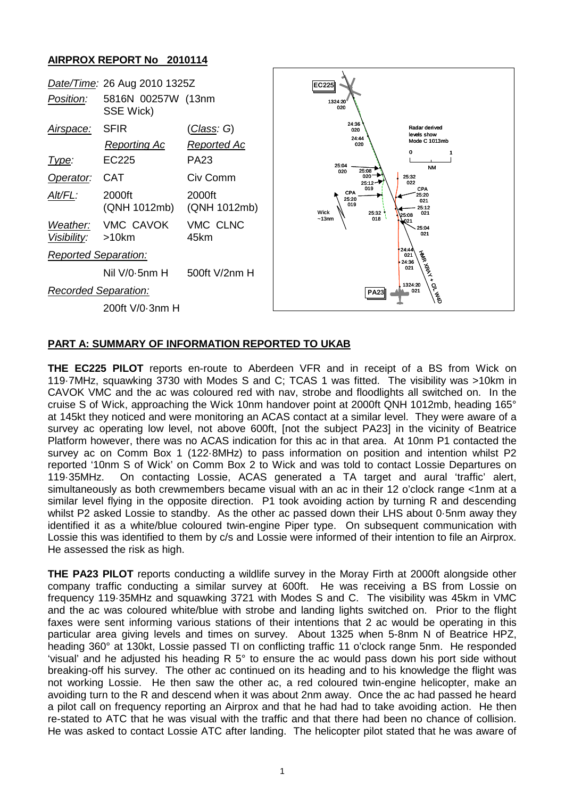## **AIRPROX REPORT No 2010114**



## **PART A: SUMMARY OF INFORMATION REPORTED TO UKAB**

**THE EC225 PILOT** reports en-route to Aberdeen VFR and in receipt of a BS from Wick on 119·7MHz, squawking 3730 with Modes S and C; TCAS 1 was fitted. The visibility was >10km in CAVOK VMC and the ac was coloured red with nav, strobe and floodlights all switched on. In the cruise S of Wick, approaching the Wick 10nm handover point at 2000ft QNH 1012mb, heading 165° at 145kt they noticed and were monitoring an ACAS contact at a similar level. They were aware of a survey ac operating low level, not above 600ft, [not the subject PA23] in the vicinity of Beatrice Platform however, there was no ACAS indication for this ac in that area. At 10nm P1 contacted the survey ac on Comm Box 1 (122·8MHz) to pass information on position and intention whilst P2 reported '10nm S of Wick' on Comm Box 2 to Wick and was told to contact Lossie Departures on 119·35MHz. On contacting Lossie, ACAS generated a TA target and aural 'traffic' alert, simultaneously as both crewmembers became visual with an ac in their 12 o'clock range <1nm at a similar level flying in the opposite direction. P1 took avoiding action by turning R and descending whilst P2 asked Lossie to standby. As the other ac passed down their LHS about 0·5nm away they identified it as a white/blue coloured twin-engine Piper type. On subsequent communication with Lossie this was identified to them by c/s and Lossie were informed of their intention to file an Airprox. He assessed the risk as high.

**THE PA23 PILOT** reports conducting a wildlife survey in the Moray Firth at 2000ft alongside other company traffic conducting a similar survey at 600ft. He was receiving a BS from Lossie on frequency 119·35MHz and squawking 3721 with Modes S and C. The visibility was 45km in VMC and the ac was coloured white/blue with strobe and landing lights switched on. Prior to the flight faxes were sent informing various stations of their intentions that 2 ac would be operating in this particular area giving levels and times on survey. About 1325 when 5-8nm N of Beatrice HPZ, heading 360° at 130kt, Lossie passed TI on conflicting traffic 11 o'clock range 5nm. He responded 'visual' and he adjusted his heading R 5° to ensure the ac would pass down his port side without breaking-off his survey. The other ac continued on its heading and to his knowledge the flight was not working Lossie. He then saw the other ac, a red coloured twin-engine helicopter, make an avoiding turn to the R and descend when it was about 2nm away. Once the ac had passed he heard a pilot call on frequency reporting an Airprox and that he had had to take avoiding action. He then re-stated to ATC that he was visual with the traffic and that there had been no chance of collision. He was asked to contact Lossie ATC after landing. The helicopter pilot stated that he was aware of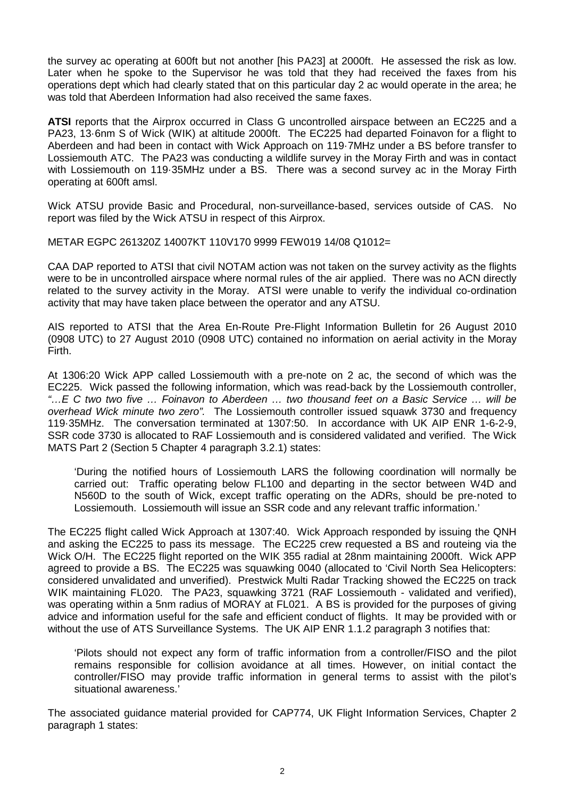the survey ac operating at 600ft but not another [his PA23] at 2000ft. He assessed the risk as low. Later when he spoke to the Supervisor he was told that they had received the faxes from his operations dept which had clearly stated that on this particular day 2 ac would operate in the area; he was told that Aberdeen Information had also received the same faxes.

**ATSI** reports that the Airprox occurred in Class G uncontrolled airspace between an EC225 and a PA23, 13·6nm S of Wick (WIK) at altitude 2000ft. The EC225 had departed Foinavon for a flight to Aberdeen and had been in contact with Wick Approach on 119·7MHz under a BS before transfer to Lossiemouth ATC. The PA23 was conducting a wildlife survey in the Moray Firth and was in contact with Lossiemouth on 119·35MHz under a BS. There was a second survey ac in the Moray Firth operating at 600ft amsl.

Wick ATSU provide Basic and Procedural, non-surveillance-based, services outside of CAS. No report was filed by the Wick ATSU in respect of this Airprox.

METAR EGPC 261320Z 14007KT 110V170 9999 FEW019 14/08 Q1012=

CAA DAP reported to ATSI that civil NOTAM action was not taken on the survey activity as the flights were to be in uncontrolled airspace where normal rules of the air applied. There was no ACN directly related to the survey activity in the Moray. ATSI were unable to verify the individual co-ordination activity that may have taken place between the operator and any ATSU.

AIS reported to ATSI that the Area En-Route Pre-Flight Information Bulletin for 26 August 2010 (0908 UTC) to 27 August 2010 (0908 UTC) contained no information on aerial activity in the Moray Firth.

At 1306:20 Wick APP called Lossiemouth with a pre-note on 2 ac, the second of which was the EC225. Wick passed the following information, which was read-back by the Lossiemouth controller, *"…E C two two five … Foinavon to Aberdeen … two thousand feet on a Basic Service … will be overhead Wick minute two zero".* The Lossiemouth controller issued squawk 3730 and frequency 119·35MHz. The conversation terminated at 1307:50. In accordance with UK AIP ENR 1-6-2-9, SSR code 3730 is allocated to RAF Lossiemouth and is considered validated and verified. The Wick MATS Part 2 (Section 5 Chapter 4 paragraph 3.2.1) states:

'During the notified hours of Lossiemouth LARS the following coordination will normally be carried out: Traffic operating below FL100 and departing in the sector between W4D and N560D to the south of Wick, except traffic operating on the ADRs, should be pre-noted to Lossiemouth. Lossiemouth will issue an SSR code and any relevant traffic information.'

The EC225 flight called Wick Approach at 1307:40. Wick Approach responded by issuing the QNH and asking the EC225 to pass its message. The EC225 crew requested a BS and routeing via the Wick O/H. The EC225 flight reported on the WIK 355 radial at 28nm maintaining 2000ft. Wick APP agreed to provide a BS. The EC225 was squawking 0040 (allocated to 'Civil North Sea Helicopters: considered unvalidated and unverified). Prestwick Multi Radar Tracking showed the EC225 on track WIK maintaining FL020. The PA23, squawking 3721 (RAF Lossiemouth - validated and verified), was operating within a 5nm radius of MORAY at FL021. A BS is provided for the purposes of giving advice and information useful for the safe and efficient conduct of flights. It may be provided with or without the use of ATS Surveillance Systems. The UK AIP ENR 1.1.2 paragraph 3 notifies that:

'Pilots should not expect any form of traffic information from a controller/FISO and the pilot remains responsible for collision avoidance at all times. However, on initial contact the controller/FISO may provide traffic information in general terms to assist with the pilot's situational awareness.'

The associated guidance material provided for CAP774, UK Flight Information Services, Chapter 2 paragraph 1 states: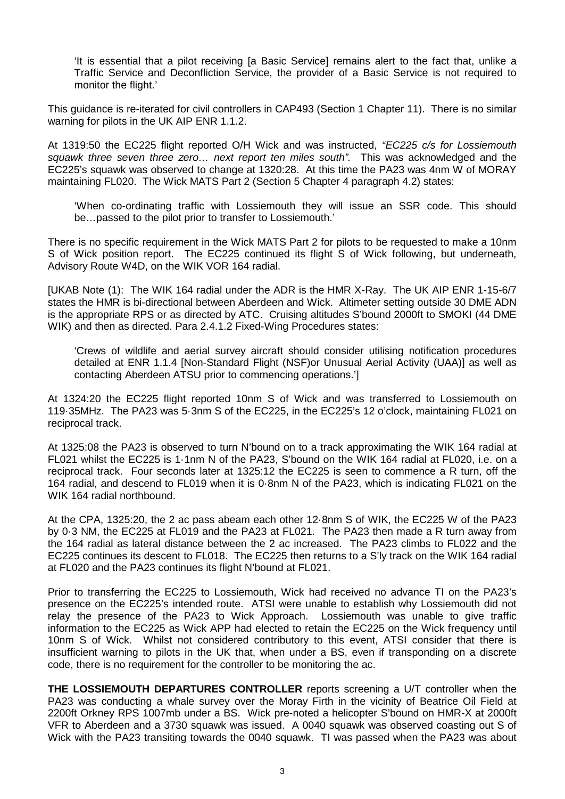'It is essential that a pilot receiving [a Basic Service] remains alert to the fact that, unlike a Traffic Service and Deconfliction Service, the provider of a Basic Service is not required to monitor the flight.'

This guidance is re-iterated for civil controllers in CAP493 (Section 1 Chapter 11). There is no similar warning for pilots in the UK AIP ENR 1.1.2.

At 1319:50 the EC225 flight reported O/H Wick and was instructed, *"EC225 c/s for Lossiemouth squawk three seven three zero… next report ten miles south".* This was acknowledged and the EC225's squawk was observed to change at 1320:28. At this time the PA23 was 4nm W of MORAY maintaining FL020. The Wick MATS Part 2 (Section 5 Chapter 4 paragraph 4.2) states:

'When co-ordinating traffic with Lossiemouth they will issue an SSR code. This should be…passed to the pilot prior to transfer to Lossiemouth.'

There is no specific requirement in the Wick MATS Part 2 for pilots to be requested to make a 10nm S of Wick position report. The EC225 continued its flight S of Wick following, but underneath, Advisory Route W4D, on the WIK VOR 164 radial.

[UKAB Note (1): The WIK 164 radial under the ADR is the HMR X-Ray. The UK AIP ENR 1-15-6/7 states the HMR is bi-directional between Aberdeen and Wick. Altimeter setting outside 30 DME ADN is the appropriate RPS or as directed by ATC. Cruising altitudes S'bound 2000ft to SMOKI (44 DME WIK) and then as directed. Para 2.4.1.2 Fixed-Wing Procedures states:

'Crews of wildlife and aerial survey aircraft should consider utilising notification procedures detailed at ENR 1.1.4 [Non-Standard Flight (NSF)or Unusual Aerial Activity (UAA)] as well as contacting Aberdeen ATSU prior to commencing operations.']

At 1324:20 the EC225 flight reported 10nm S of Wick and was transferred to Lossiemouth on 119·35MHz. The PA23 was 5·3nm S of the EC225, in the EC225's 12 o'clock, maintaining FL021 on reciprocal track.

At 1325:08 the PA23 is observed to turn N'bound on to a track approximating the WIK 164 radial at FL021 whilst the EC225 is 1·1nm N of the PA23, S'bound on the WIK 164 radial at FL020, i.e. on a reciprocal track. Four seconds later at 1325:12 the EC225 is seen to commence a R turn, off the 164 radial, and descend to FL019 when it is 0·8nm N of the PA23, which is indicating FL021 on the WIK 164 radial northbound.

At the CPA, 1325:20, the 2 ac pass abeam each other 12·8nm S of WIK, the EC225 W of the PA23 by 0·3 NM, the EC225 at FL019 and the PA23 at FL021. The PA23 then made a R turn away from the 164 radial as lateral distance between the 2 ac increased. The PA23 climbs to FL022 and the EC225 continues its descent to FL018. The EC225 then returns to a S'ly track on the WIK 164 radial at FL020 and the PA23 continues its flight N'bound at FL021.

Prior to transferring the EC225 to Lossiemouth, Wick had received no advance TI on the PA23's presence on the EC225's intended route. ATSI were unable to establish why Lossiemouth did not relay the presence of the PA23 to Wick Approach. Lossiemouth was unable to give traffic information to the EC225 as Wick APP had elected to retain the EC225 on the Wick frequency until 10nm S of Wick. Whilst not considered contributory to this event, ATSI consider that there is insufficient warning to pilots in the UK that, when under a BS, even if transponding on a discrete code, there is no requirement for the controller to be monitoring the ac.

**THE LOSSIEMOUTH DEPARTURES CONTROLLER** reports screening a U/T controller when the PA23 was conducting a whale survey over the Moray Firth in the vicinity of Beatrice Oil Field at 2200ft Orkney RPS 1007mb under a BS. Wick pre-noted a helicopter S'bound on HMR-X at 2000ft VFR to Aberdeen and a 3730 squawk was issued. A 0040 squawk was observed coasting out S of Wick with the PA23 transiting towards the 0040 squawk. TI was passed when the PA23 was about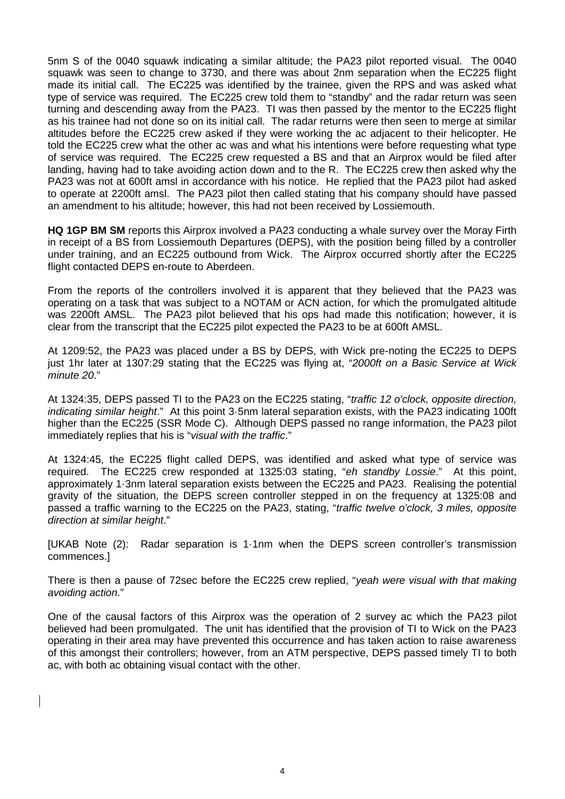5nm S of the 0040 squawk indicating a similar altitude; the PA23 pilot reported visual. The 0040 squawk was seen to change to 3730, and there was about 2nm separation when the EC225 flight made its initial call. The EC225 was identified by the trainee, given the RPS and was asked what type of service was required. The EC225 crew told them to "standby" and the radar return was seen turning and descending away from the PA23. TI was then passed by the mentor to the EC225 flight as his trainee had not done so on its initial call. The radar returns were then seen to merge at similar altitudes before the EC225 crew asked if they were working the ac adjacent to their helicopter. He told the EC225 crew what the other ac was and what his intentions were before requesting what type of service was required. The EC225 crew requested a BS and that an Airprox would be filed after landing, having had to take avoiding action down and to the R. The EC225 crew then asked why the PA23 was not at 600ft amsl in accordance with his notice. He replied that the PA23 pilot had asked to operate at 2200ft amsl. The PA23 pilot then called stating that his company should have passed an amendment to his altitude; however, this had not been received by Lossiemouth.

**HQ 1GP BM SM** reports this Airprox involved a PA23 conducting a whale survey over the Moray Firth in receipt of a BS from Lossiemouth Departures (DEPS), with the position being filled by a controller under training, and an EC225 outbound from Wick. The Airprox occurred shortly after the EC225 flight contacted DEPS en-route to Aberdeen.

From the reports of the controllers involved it is apparent that they believed that the PA23 was operating on a task that was subject to a NOTAM or ACN action, for which the promulgated altitude was 2200ft AMSL. The PA23 pilot believed that his ops had made this notification; however, it is clear from the transcript that the EC225 pilot expected the PA23 to be at 600ft AMSL.

At 1209:52, the PA23 was placed under a BS by DEPS, with Wick pre-noting the EC225 to DEPS just 1hr later at 1307:29 stating that the EC225 was flying at, "*2000ft on a Basic Service at Wick minute 20*."

At 1324:35, DEPS passed TI to the PA23 on the EC225 stating, "*traffic 12 o'clock, opposite direction, indicating similar height*." At this point 3·5nm lateral separation exists, with the PA23 indicating 100ft higher than the EC225 (SSR Mode C). Although DEPS passed no range information, the PA23 pilot immediately replies that his is "*visual with the traffic*."

At 1324:45, the EC225 flight called DEPS, was identified and asked what type of service was required. The EC225 crew responded at 1325:03 stating, "*eh standby Lossie*." At this point, approximately 1·3nm lateral separation exists between the EC225 and PA23. Realising the potential gravity of the situation, the DEPS screen controller stepped in on the frequency at 1325:08 and passed a traffic warning to the EC225 on the PA23, stating, "*traffic twelve o'clock, 3 miles, opposite direction at similar height*."

[UKAB Note (2): Radar separation is 1·1nm when the DEPS screen controller's transmission commences.]

There is then a pause of 72sec before the EC225 crew replied, "*yeah were visual with that making avoiding action*."

One of the causal factors of this Airprox was the operation of 2 survey ac which the PA23 pilot believed had been promulgated. The unit has identified that the provision of TI to Wick on the PA23 operating in their area may have prevented this occurrence and has taken action to raise awareness of this amongst their controllers; however, from an ATM perspective, DEPS passed timely TI to both ac, with both ac obtaining visual contact with the other.